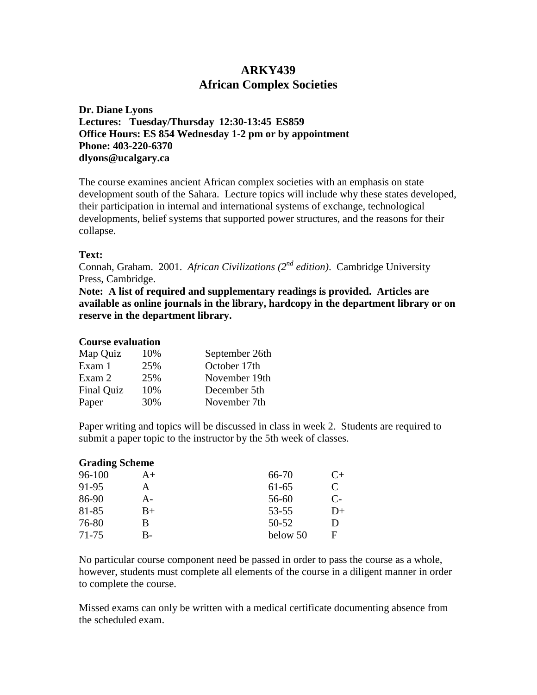# **ARKY439 African Complex Societies**

**Dr. Diane Lyons Lectures: Tuesday/Thursday 12:30-13:45 ES859 Office Hours: ES 854 Wednesday 1-2 pm or by appointment Phone: 403-220-6370 dlyons@ucalgary.ca**

The course examines ancient African complex societies with an emphasis on state development south of the Sahara. Lecture topics will include why these states developed, their participation in internal and international systems of exchange, technological developments, belief systems that supported power structures, and the reasons for their collapse.

## **Text:**

Connah, Graham. 2001. *African Civilizations (2nd edition)*. Cambridge University Press, Cambridge.

**Note: A list of required and supplementary readings is provided. Articles are available as online journals in the library, hardcopy in the department library or on reserve in the department library.** 

## **Course evaluation**

| Map Quiz   | 10% | September 26th |
|------------|-----|----------------|
| Exam 1     | 25% | October 17th   |
| Exam 2     | 25% | November 19th  |
| Final Quiz | 10% | December 5th   |
| Paper      | 30% | November 7th   |

Paper writing and topics will be discussed in class in week 2. Students are required to submit a paper topic to the instructor by the 5th week of classes.

| <b>Grading Scheme</b> |      |           |      |
|-----------------------|------|-----------|------|
| 96-100                | $A+$ | 66-70     | $C+$ |
| 91-95                 | A    | $61-65$   | C    |
| 86-90                 | А-   | 56-60     | $C-$ |
| 81-85                 | $B+$ | $53 - 55$ | D+   |
| 76-80                 | В    | 50-52     | D    |
| $71 - 75$             | B-   | below 50  | F    |

No particular course component need be passed in order to pass the course as a whole, however, students must complete all elements of the course in a diligent manner in order to complete the course.

Missed exams can only be written with a medical certificate documenting absence from the scheduled exam.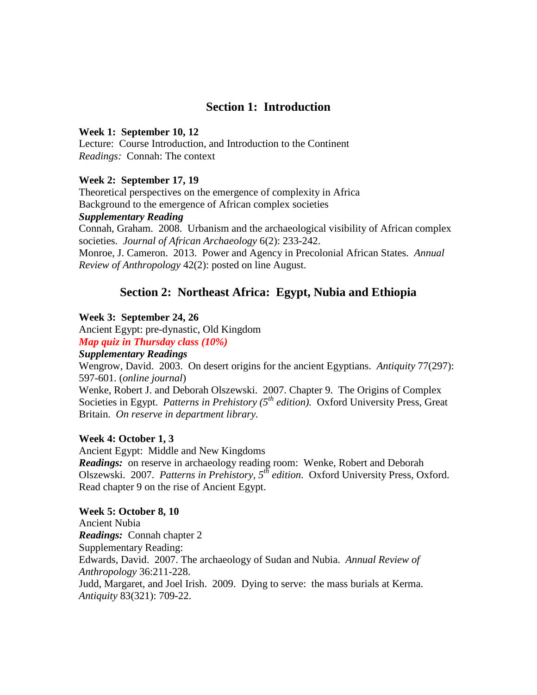# **Section 1: Introduction**

#### **Week 1: September 10, 12**

Lecture: Course Introduction, and Introduction to the Continent *Readings:* Connah: The context

## **Week 2: September 17, 19**

Theoretical perspectives on the emergence of complexity in Africa

Background to the emergence of African complex societies

# *Supplementary Reading*

Connah, Graham. 2008. Urbanism and the archaeological visibility of African complex societies. *Journal of African Archaeology* 6(2): 233-242.

Monroe, J. Cameron. 2013. Power and Agency in Precolonial African States. *Annual Review of Anthropology* 42(2): posted on line August.

# **Section 2: Northeast Africa: Egypt, Nubia and Ethiopia**

#### **Week 3: September 24, 26**

Ancient Egypt: pre-dynastic, Old Kingdom

*Map quiz in Thursday class (10%)*

# *Supplementary Readings*

Wengrow, David. 2003. On desert origins for the ancient Egyptians. *Antiquity* 77(297): 597-601. (*online journal*)

Wenke, Robert J. and Deborah Olszewski. 2007. Chapter 9. The Origins of Complex Societies in Egypt. *Patterns in Prehistory (5<sup>th</sup> edition)*. Oxford University Press, Great Britain. *On reserve in department library.*

## **Week 4: October 1, 3**

Ancient Egypt: Middle and New Kingdoms *Readings:* on reserve in archaeology reading room: Wenke, Robert and Deborah Olszewski. 2007. *Patterns in Prehistory, 5th edition*. Oxford University Press, Oxford. Read chapter 9 on the rise of Ancient Egypt.

#### **Week 5: October 8, 10**

Ancient Nubia *Readings:* Connah chapter 2 Supplementary Reading: Edwards, David. 2007. The archaeology of Sudan and Nubia. *Annual Review of Anthropology* 36:211-228. Judd, Margaret, and Joel Irish. 2009. Dying to serve: the mass burials at Kerma. *Antiquity* 83(321): 709-22.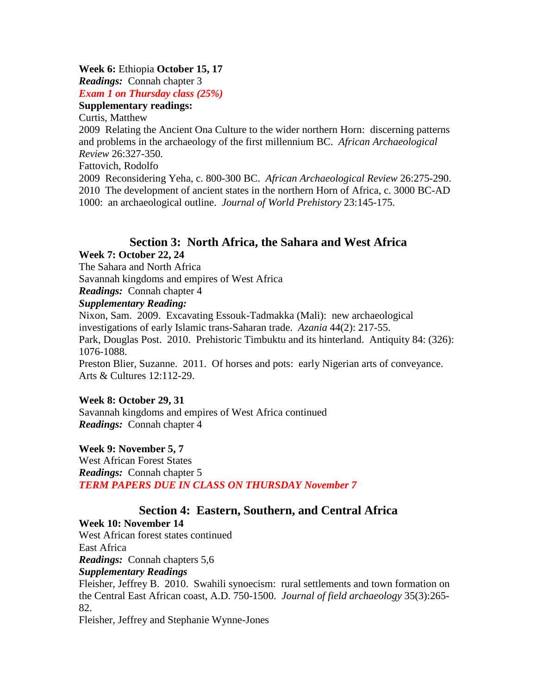#### **Week 6:** Ethiopia **October 15, 17**

*Readings:* Connah chapter 3

*Exam 1 on Thursday class (25%)*

# **Supplementary readings:**

Curtis, Matthew

2009 Relating the Ancient Ona Culture to the wider northern Horn: discerning patterns and problems in the archaeology of the first millennium BC. *African Archaeological Review* 26:327-350.

Fattovich, Rodolfo

2009 Reconsidering Yeha, c. 800-300 BC. *African Archaeological Review* 26:275-290. 2010 The development of ancient states in the northern Horn of Africa, c. 3000 BC-AD 1000: an archaeological outline. *Journal of World Prehistory* 23:145-175.

# **Section 3: North Africa, the Sahara and West Africa**

## **Week 7: October 22, 24**

The Sahara and North Africa

Savannah kingdoms and empires of West Africa

*Readings:* Connah chapter 4

# *Supplementary Reading:*

Nixon, Sam. 2009. Excavating Essouk-Tadmakka (Mali): new archaeological investigations of early Islamic trans-Saharan trade. *Azania* 44(2): 217-55. Park, Douglas Post. 2010. Prehistoric Timbuktu and its hinterland. Antiquity 84: (326): 1076-1088. Preston Blier, Suzanne. 2011. Of horses and pots: early Nigerian arts of conveyance. Arts & Cultures 12:112-29.

## **Week 8: October 29, 31**

Savannah kingdoms and empires of West Africa continued *Readings:* Connah chapter 4

## **Week 9: November 5, 7**

West African Forest States *Readings:* Connah chapter 5 *TERM PAPERS DUE IN CLASS ON THURSDAY November 7*

# **Section 4: Eastern, Southern, and Central Africa**

# **Week 10: November 14**

West African forest states continued East Africa *Readings:* Connah chapters 5,6

## *Supplementary Readings*

Fleisher, Jeffrey B. 2010. Swahili synoecism: rural settlements and town formation on the Central East African coast, A.D. 750-1500. *Journal of field archaeology* 35(3):265- 82.

Fleisher, Jeffrey and Stephanie Wynne-Jones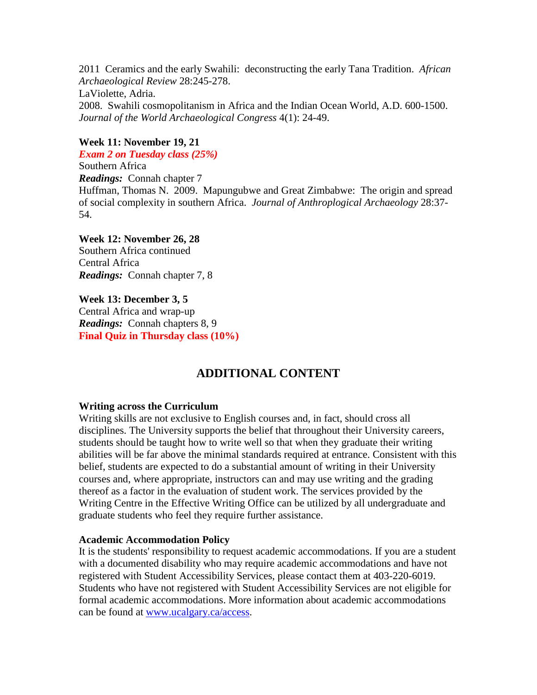2011 Ceramics and the early Swahili: deconstructing the early Tana Tradition. *African Archaeological Review* 28:245-278. LaViolette, Adria. 2008. Swahili cosmopolitanism in Africa and the Indian Ocean World, A.D. 600-1500. *Journal of the World Archaeological Congress* 4(1): 24-49.

# **Week 11: November 19, 21**

*Exam 2 on Tuesday class (25%)*  Southern Africa *Readings:* Connah chapter 7 Huffman, Thomas N. 2009. Mapungubwe and Great Zimbabwe: The origin and spread of social complexity in southern Africa. *Journal of Anthroplogical Archaeology* 28:37- 54.

# **Week 12: November 26, 28**

Southern Africa continued Central Africa *Readings:* Connah chapter 7, 8

# **Week 13: December 3, 5**

Central Africa and wrap-up *Readings:* Connah chapters 8, 9 **Final Quiz in Thursday class (10%)**

# **ADDITIONAL CONTENT**

## **Writing across the Curriculum**

Writing skills are not exclusive to English courses and, in fact, should cross all disciplines. The University supports the belief that throughout their University careers, students should be taught how to write well so that when they graduate their writing abilities will be far above the minimal standards required at entrance. Consistent with this belief, students are expected to do a substantial amount of writing in their University courses and, where appropriate, instructors can and may use writing and the grading thereof as a factor in the evaluation of student work. The services provided by the Writing Centre in the Effective Writing Office can be utilized by all undergraduate and graduate students who feel they require further assistance.

## **Academic Accommodation Policy**

It is the students' responsibility to request academic accommodations. If you are a student with a documented disability who may require academic accommodations and have not registered with Student Accessibility Services, please contact them at 403-220-6019. Students who have not registered with Student Accessibility Services are not eligible for formal academic accommodations. More information about academic accommodations can be found at [www.ucalgary.ca/access.](http://www.ucalgary.ca/access)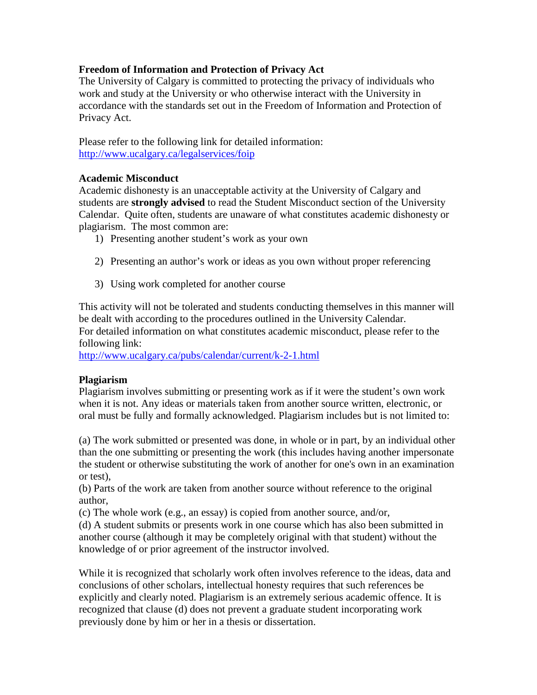# **Freedom of Information and Protection of Privacy Act**

The University of Calgary is committed to protecting the privacy of individuals who work and study at the University or who otherwise interact with the University in accordance with the standards set out in the Freedom of Information and Protection of Privacy Act.

Please refer to the following link for detailed information: <http://www.ucalgary.ca/legalservices/foip>

## **Academic Misconduct**

Academic dishonesty is an unacceptable activity at the University of Calgary and students are **strongly advised** to read the Student Misconduct section of the University Calendar. Quite often, students are unaware of what constitutes academic dishonesty or plagiarism. The most common are:

- 1) Presenting another student's work as your own
- 2) Presenting an author's work or ideas as you own without proper referencing
- 3) Using work completed for another course

This activity will not be tolerated and students conducting themselves in this manner will be dealt with according to the procedures outlined in the University Calendar. For detailed information on what constitutes academic misconduct, please refer to the following link:

<http://www.ucalgary.ca/pubs/calendar/current/k-2-1.html>

## **Plagiarism**

Plagiarism involves submitting or presenting work as if it were the student's own work when it is not. Any ideas or materials taken from another source written, electronic, or oral must be fully and formally acknowledged. Plagiarism includes but is not limited to:

(a) The work submitted or presented was done, in whole or in part, by an individual other than the one submitting or presenting the work (this includes having another impersonate the student or otherwise substituting the work of another for one's own in an examination or test),

(b) Parts of the work are taken from another source without reference to the original author,

(c) The whole work (e.g., an essay) is copied from another source, and/or,

(d) A student submits or presents work in one course which has also been submitted in another course (although it may be completely original with that student) without the knowledge of or prior agreement of the instructor involved.

While it is recognized that scholarly work often involves reference to the ideas, data and conclusions of other scholars, intellectual honesty requires that such references be explicitly and clearly noted. Plagiarism is an extremely serious academic offence. It is recognized that clause (d) does not prevent a graduate student incorporating work previously done by him or her in a thesis or dissertation.